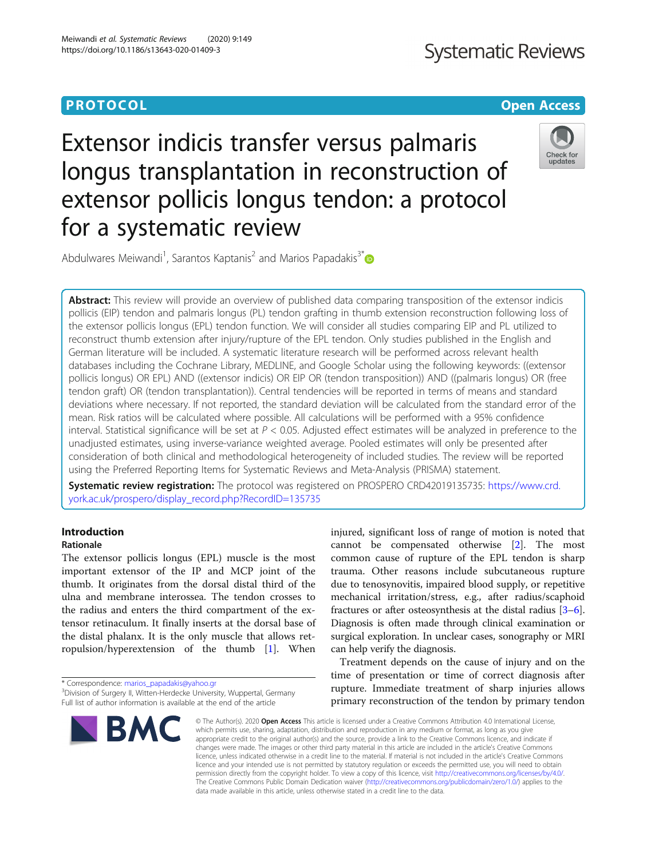#### **PROTOCOL CONSUMING THE OPEN ACCESS**

# Extensor indicis transfer versus palmaris longus transplantation in reconstruction of extensor pollicis longus tendon: a protocol for a systematic review



Abdulwares Meiwandi<sup>1</sup>, Sarantos Kaptanis<sup>2</sup> and Marios Papadakis<sup>3\*</sup>

Abstract: This review will provide an overview of published data comparing transposition of the extensor indicis pollicis (EIP) tendon and palmaris longus (PL) tendon grafting in thumb extension reconstruction following loss of the extensor pollicis longus (EPL) tendon function. We will consider all studies comparing EIP and PL utilized to reconstruct thumb extension after injury/rupture of the EPL tendon. Only studies published in the English and German literature will be included. A systematic literature research will be performed across relevant health databases including the Cochrane Library, MEDLINE, and Google Scholar using the following keywords: ((extensor pollicis longus) OR EPL) AND ((extensor indicis) OR EIP OR (tendon transposition)) AND ((palmaris longus) OR (free tendon graft) OR (tendon transplantation)). Central tendencies will be reported in terms of means and standard deviations where necessary. If not reported, the standard deviation will be calculated from the standard error of the mean. Risk ratios will be calculated where possible. All calculations will be performed with a 95% confidence interval. Statistical significance will be set at  $P < 0.05$ . Adjusted effect estimates will be analyzed in preference to the unadjusted estimates, using inverse-variance weighted average. Pooled estimates will only be presented after consideration of both clinical and methodological heterogeneity of included studies. The review will be reported using the Preferred Reporting Items for Systematic Reviews and Meta-Analysis (PRISMA) statement.

Systematic review registration: The protocol was registered on PROSPERO CRD42019135735: [https://www.crd.](https://www.crd.york.ac.uk/prospero/display_record.php?RecordID=135735) [york.ac.uk/prospero/display\\_record.php?RecordID=135735](https://www.crd.york.ac.uk/prospero/display_record.php?RecordID=135735)

### Introduction

#### Rationale

The extensor pollicis longus (EPL) muscle is the most important extensor of the IP and MCP joint of the thumb. It originates from the dorsal distal third of the ulna and membrane interossea. The tendon crosses to the radius and enters the third compartment of the extensor retinaculum. It finally inserts at the dorsal base of the distal phalanx. It is the only muscle that allows retropulsion/hyperextension of the thumb [[1\]](#page-3-0). When

\* Correspondence: [marios\\_papadakis@yahoo.gr](mailto:marios_papadakis@yahoo.gr) <sup>3</sup>

<sup>&</sup>lt;sup>3</sup>Division of Surgery II, Witten-Herdecke University, Wuppertal, Germany Full list of author information is available at the end of the article



injured, significant loss of range of motion is noted that cannot be compensated otherwise [[2\]](#page-3-0). The most common cause of rupture of the EPL tendon is sharp trauma. Other reasons include subcutaneous rupture due to tenosynovitis, impaired blood supply, or repetitive mechanical irritation/stress, e.g., after radius/scaphoid fractures or after osteosynthesis at the distal radius [[3](#page-3-0)–[6](#page-3-0)]. Diagnosis is often made through clinical examination or surgical exploration. In unclear cases, sonography or MRI can help verify the diagnosis.

Treatment depends on the cause of injury and on the time of presentation or time of correct diagnosis after rupture. Immediate treatment of sharp injuries allows primary reconstruction of the tendon by primary tendon

© The Author(s), 2020 **Open Access** This article is licensed under a Creative Commons Attribution 4.0 International License, which permits use, sharing, adaptation, distribution and reproduction in any medium or format, as long as you give appropriate credit to the original author(s) and the source, provide a link to the Creative Commons licence, and indicate if changes were made. The images or other third party material in this article are included in the article's Creative Commons licence, unless indicated otherwise in a credit line to the material. If material is not included in the article's Creative Commons licence and your intended use is not permitted by statutory regulation or exceeds the permitted use, you will need to obtain permission directly from the copyright holder. To view a copy of this licence, visit [http://creativecommons.org/licenses/by/4.0/.](http://creativecommons.org/licenses/by/4.0/) The Creative Commons Public Domain Dedication waiver [\(http://creativecommons.org/publicdomain/zero/1.0/](http://creativecommons.org/publicdomain/zero/1.0/)) applies to the data made available in this article, unless otherwise stated in a credit line to the data.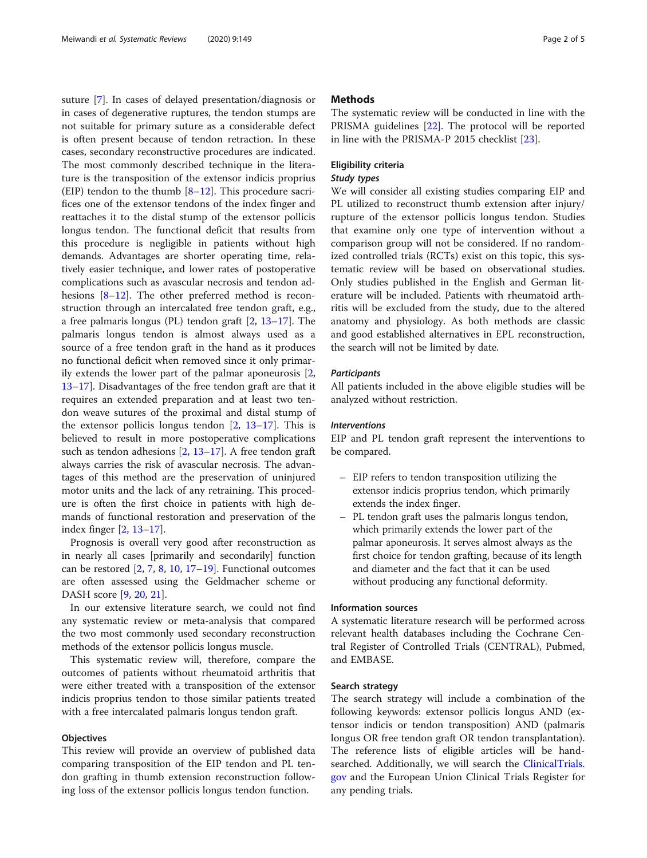suture [\[7](#page-3-0)]. In cases of delayed presentation/diagnosis or in cases of degenerative ruptures, the tendon stumps are not suitable for primary suture as a considerable defect is often present because of tendon retraction. In these cases, secondary reconstructive procedures are indicated. The most commonly described technique in the literature is the transposition of the extensor indicis proprius (EIP) tendon to the thumb  $[8-12]$  $[8-12]$  $[8-12]$ . This procedure sacrifices one of the extensor tendons of the index finger and reattaches it to the distal stump of the extensor pollicis longus tendon. The functional deficit that results from this procedure is negligible in patients without high demands. Advantages are shorter operating time, relatively easier technique, and lower rates of postoperative complications such as avascular necrosis and tendon adhesions [\[8](#page-3-0)–[12\]](#page-3-0). The other preferred method is reconstruction through an intercalated free tendon graft, e.g., a free palmaris longus (PL) tendon graft [[2,](#page-3-0) [13](#page-3-0)–[17\]](#page-3-0). The palmaris longus tendon is almost always used as a source of a free tendon graft in the hand as it produces no functional deficit when removed since it only primarily extends the lower part of the palmar aponeurosis [\[2](#page-3-0), [13](#page-3-0)–[17](#page-3-0)]. Disadvantages of the free tendon graft are that it requires an extended preparation and at least two tendon weave sutures of the proximal and distal stump of the extensor pollicis longus tendon  $[2, 13-17]$  $[2, 13-17]$  $[2, 13-17]$  $[2, 13-17]$  $[2, 13-17]$ . This is believed to result in more postoperative complications such as tendon adhesions [[2,](#page-3-0) [13](#page-3-0)–[17](#page-3-0)]. A free tendon graft always carries the risk of avascular necrosis. The advantages of this method are the preservation of uninjured motor units and the lack of any retraining. This procedure is often the first choice in patients with high demands of functional restoration and preservation of the index finger [[2,](#page-3-0) [13](#page-3-0)–[17](#page-3-0)].

Prognosis is overall very good after reconstruction as in nearly all cases [primarily and secondarily] function can be restored  $[2, 7, 8, 10, 17–19]$  $[2, 7, 8, 10, 17–19]$  $[2, 7, 8, 10, 17–19]$  $[2, 7, 8, 10, 17–19]$  $[2, 7, 8, 10, 17–19]$  $[2, 7, 8, 10, 17–19]$  $[2, 7, 8, 10, 17–19]$  $[2, 7, 8, 10, 17–19]$  $[2, 7, 8, 10, 17–19]$  $[2, 7, 8, 10, 17–19]$  $[2, 7, 8, 10, 17–19]$  $[2, 7, 8, 10, 17–19]$  $[2, 7, 8, 10, 17–19]$ . Functional outcomes are often assessed using the Geldmacher scheme or DASH score [[9,](#page-3-0) [20,](#page-3-0) [21\]](#page-3-0).

In our extensive literature search, we could not find any systematic review or meta-analysis that compared the two most commonly used secondary reconstruction methods of the extensor pollicis longus muscle.

This systematic review will, therefore, compare the outcomes of patients without rheumatoid arthritis that were either treated with a transposition of the extensor indicis proprius tendon to those similar patients treated with a free intercalated palmaris longus tendon graft.

#### **Objectives**

This review will provide an overview of published data comparing transposition of the EIP tendon and PL tendon grafting in thumb extension reconstruction following loss of the extensor pollicis longus tendon function.

#### **Methods**

The systematic review will be conducted in line with the PRISMA guidelines [\[22\]](#page-3-0). The protocol will be reported in line with the PRISMA-P 2015 checklist [\[23](#page-3-0)].

#### Eligibility criteria

#### Study types

We will consider all existing studies comparing EIP and PL utilized to reconstruct thumb extension after injury/ rupture of the extensor pollicis longus tendon. Studies that examine only one type of intervention without a comparison group will not be considered. If no randomized controlled trials (RCTs) exist on this topic, this systematic review will be based on observational studies. Only studies published in the English and German literature will be included. Patients with rheumatoid arthritis will be excluded from the study, due to the altered anatomy and physiology. As both methods are classic and good established alternatives in EPL reconstruction, the search will not be limited by date.

#### **Participants**

All patients included in the above eligible studies will be analyzed without restriction.

#### Interventions

EIP and PL tendon graft represent the interventions to be compared.

- EIP refers to tendon transposition utilizing the extensor indicis proprius tendon, which primarily extends the index finger.
- PL tendon graft uses the palmaris longus tendon, which primarily extends the lower part of the palmar aponeurosis. It serves almost always as the first choice for tendon grafting, because of its length and diameter and the fact that it can be used without producing any functional deformity.

#### Information sources

A systematic literature research will be performed across relevant health databases including the Cochrane Central Register of Controlled Trials (CENTRAL), Pubmed, and EMBASE.

#### Search strategy

The search strategy will include a combination of the following keywords: extensor pollicis longus AND (extensor indicis or tendon transposition) AND (palmaris longus OR free tendon graft OR tendon transplantation). The reference lists of eligible articles will be handsearched. Additionally, we will search the [ClinicalTrials.](http://clinicaltrials.gov) [gov](http://clinicaltrials.gov) and the European Union Clinical Trials Register for any pending trials.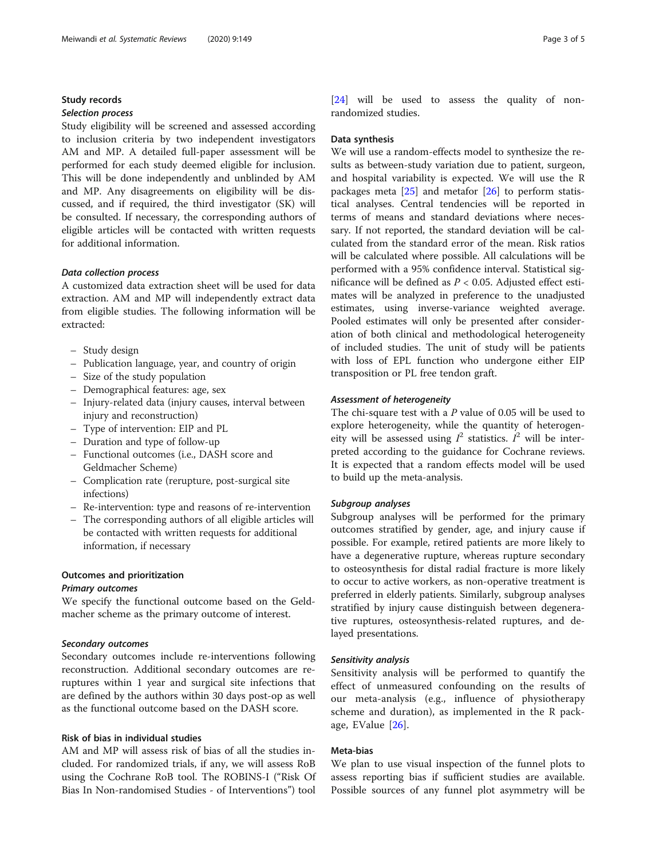#### Study records

#### Selection process

Study eligibility will be screened and assessed according to inclusion criteria by two independent investigators AM and MP. A detailed full-paper assessment will be performed for each study deemed eligible for inclusion. This will be done independently and unblinded by AM and MP. Any disagreements on eligibility will be discussed, and if required, the third investigator (SK) will be consulted. If necessary, the corresponding authors of eligible articles will be contacted with written requests for additional information.

#### Data collection process

A customized data extraction sheet will be used for data extraction. AM and MP will independently extract data from eligible studies. The following information will be extracted:

- Study design
- Publication language, year, and country of origin
- Size of the study population
- Demographical features: age, sex
- Injury-related data (injury causes, interval between injury and reconstruction)
- Type of intervention: EIP and PL
- Duration and type of follow-up
- Functional outcomes (i.e., DASH score and Geldmacher Scheme)
- Complication rate (rerupture, post-surgical site infections)
- Re-intervention: type and reasons of re-intervention
- The corresponding authors of all eligible articles will be contacted with written requests for additional information, if necessary

#### Outcomes and prioritization

#### Primary outcomes

We specify the functional outcome based on the Geldmacher scheme as the primary outcome of interest.

#### Secondary outcomes

Secondary outcomes include re-interventions following reconstruction. Additional secondary outcomes are reruptures within 1 year and surgical site infections that are defined by the authors within 30 days post-op as well as the functional outcome based on the DASH score.

#### Risk of bias in individual studies

AM and MP will assess risk of bias of all the studies included. For randomized trials, if any, we will assess RoB using the Cochrane RoB tool. The ROBINS-I ("Risk Of Bias In Non-randomised Studies - of Interventions") tool

[[24\]](#page-3-0) will be used to assess the quality of nonrandomized studies.

#### Data synthesis

We will use a random-effects model to synthesize the results as between-study variation due to patient, surgeon, and hospital variability is expected. We will use the R packages meta [\[25](#page-3-0)] and metafor [[26](#page-4-0)] to perform statistical analyses. Central tendencies will be reported in terms of means and standard deviations where necessary. If not reported, the standard deviation will be calculated from the standard error of the mean. Risk ratios will be calculated where possible. All calculations will be performed with a 95% confidence interval. Statistical significance will be defined as  $P < 0.05$ . Adjusted effect estimates will be analyzed in preference to the unadjusted estimates, using inverse-variance weighted average. Pooled estimates will only be presented after consideration of both clinical and methodological heterogeneity of included studies. The unit of study will be patients with loss of EPL function who undergone either EIP transposition or PL free tendon graft.

#### Assessment of heterogeneity

The chi-square test with a  $P$  value of 0.05 will be used to explore heterogeneity, while the quantity of heterogeneity will be assessed using  $I^2$  statistics.  $I^2$  will be interpreted according to the guidance for Cochrane reviews. It is expected that a random effects model will be used to build up the meta-analysis.

#### Subgroup analyses

Subgroup analyses will be performed for the primary outcomes stratified by gender, age, and injury cause if possible. For example, retired patients are more likely to have a degenerative rupture, whereas rupture secondary to osteosynthesis for distal radial fracture is more likely to occur to active workers, as non-operative treatment is preferred in elderly patients. Similarly, subgroup analyses stratified by injury cause distinguish between degenerative ruptures, osteosynthesis-related ruptures, and delayed presentations.

#### Sensitivity analysis

Sensitivity analysis will be performed to quantify the effect of unmeasured confounding on the results of our meta-analysis (e.g., influence of physiotherapy scheme and duration), as implemented in the R package, EValue [\[26](#page-4-0)].

#### Meta-bias

We plan to use visual inspection of the funnel plots to assess reporting bias if sufficient studies are available. Possible sources of any funnel plot asymmetry will be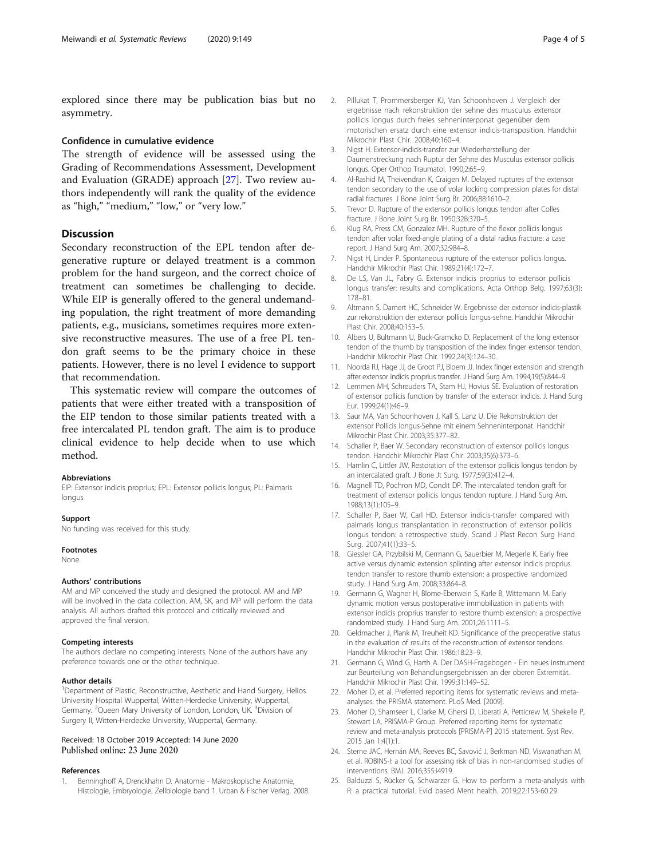<span id="page-3-0"></span>explored since there may be publication bias but no asymmetry.

#### Confidence in cumulative evidence

The strength of evidence will be assessed using the Grading of Recommendations Assessment, Development and Evaluation (GRADE) approach [[27](#page-4-0)]. Two review authors independently will rank the quality of the evidence as "high," "medium," "low," or "very low."

#### **Discussion**

Secondary reconstruction of the EPL tendon after degenerative rupture or delayed treatment is a common problem for the hand surgeon, and the correct choice of treatment can sometimes be challenging to decide. While EIP is generally offered to the general undemanding population, the right treatment of more demanding patients, e.g., musicians, sometimes requires more extensive reconstructive measures. The use of a free PL tendon graft seems to be the primary choice in these patients. However, there is no level I evidence to support that recommendation.

This systematic review will compare the outcomes of patients that were either treated with a transposition of the EIP tendon to those similar patients treated with a free intercalated PL tendon graft. The aim is to produce clinical evidence to help decide when to use which method.

#### Abbreviations

EIP: Extensor indicis proprius; EPL: Extensor pollicis longus; PL: Palmaris longus

#### Support

No funding was received for this study.

#### Footnotes

None.

#### Authors' contributions

AM and MP conceived the study and designed the protocol. AM and MP will be involved in the data collection. AM, SK, and MP will perform the data analysis. All authors drafted this protocol and critically reviewed and approved the final version.

#### Competing interests

The authors declare no competing interests. None of the authors have any preference towards one or the other technique.

#### Author details

<sup>1</sup>Department of Plastic, Reconstructive, Aesthetic and Hand Surgery, Helios University Hospital Wuppertal, Witten-Herdecke University, Wuppertal, Germany. <sup>2</sup>Queen Mary University of London, London, UK. <sup>3</sup>Division of Surgery II, Witten-Herdecke University, Wuppertal, Germany.

## Received: 18 October 2019 Accepted: 14 June 2020

#### References

1. Benninghoff A, Drenckhahn D. Anatomie - Makroskopische Anatomie, Histologie, Embryologie, Zellbiologie band 1. Urban & Fischer Verlag. 2008.

- 2. Pillukat T, Prommersberger KJ, Van Schoonhoven J. Vergleich der ergebnisse nach rekonstruktion der sehne des musculus extensor pollicis longus durch freies sehneninterponat gegenüber dem motorischen ersatz durch eine extensor indicis-transposition. Handchir Mikrochir Plast Chir. 2008;40:160–4.
- 3. Nigst H. Extensor-indicis-transfer zur Wiederherstellung der Daumenstreckung nach Ruptur der Sehne des Musculus extensor pollicis longus. Oper Orthop Traumatol. 1990;2:65–9.
- 4. Al-Rashid M, Theivendran K, Craigen M. Delayed ruptures of the extensor tendon secondary to the use of volar locking compression plates for distal radial fractures. J Bone Joint Surg Br. 2006;88:1610–2.
- 5. Trevor D. Rupture of the extensor pollicis longus tendon after Colles fracture. J Bone Joint Surg Br. 1950;32B:370–5.
- 6. Klug RA, Press CM, Gonzalez MH. Rupture of the flexor pollicis longus tendon after volar fixed-angle plating of a distal radius fracture: a case report. J Hand Surg Am. 2007;32:984–8.
- 7. Nigst H, Linder P. Spontaneous rupture of the extensor pollicis longus. Handchir Mikrochir Plast Chir. 1989;21(4):172–7.
- De LS, Van JL, Fabry G. Extensor indicis proprius to extensor pollicis longus transfer: results and complications. Acta Orthop Belg. 1997;63(3): 178–81.
- 9. Altmann S, Damert HC, Schneider W. Ergebnisse der extensor indicis-plastik zur rekonstruktion der extensor pollicis longus-sehne. Handchir Mikrochir Plast Chir. 2008;40:153–5.
- 10. Albers U, Bultmann U, Buck-Gramcko D. Replacement of the long extensor tendon of the thumb by transposition of the index finger extensor tendon. Handchir Mikrochir Plast Chir. 1992;24(3):124–30.
- 11. Noorda RJ, Hage JJ, de Groot PJ, Bloem JJ. Index finger extension and strength after extensor indicis proprius transfer. J Hand Surg Am. 1994;19(5):844–9.
- 12. Lemmen MH, Schreuders TA, Stam HJ, Hovius SE. Evaluation of restoration of extensor pollicis function by transfer of the extensor indicis. J. Hand Surg Eur. 1999;24(1):46–9.
- 13. Saur MA, Van Schoonhoven J, Kall S, Lanz U. Die Rekonstruktion der extensor Pollicis longus-Sehne mit einem Sehneninterponat. Handchir Mikrochir Plast Chir. 2003;35:377–82.
- 14. Schaller P, Baer W. Secondary reconstruction of extensor pollicis longus tendon. Handchir Mikrochir Plast Chir. 2003;35(6):373–6.
- 15. Hamlin C, Littler JW. Restoration of the extensor pollicis longus tendon by an intercalated graft. J Bone Jt Surg. 1977;59(3):412–4.
- 16. Magnell TD, Pochron MD, Condit DP. The intercalated tendon graft for treatment of extensor pollicis longus tendon rupture. J Hand Surg Am. 1988;13(1):105–9.
- 17. Schaller P, Baer W, Carl HD. Extensor indicis-transfer compared with palmaris longus transplantation in reconstruction of extensor pollicis longus tendon: a retrospective study. Scand J Plast Recon Surg Hand Surg. 2007;41(1):33–5.
- 18. Giessler GA, Przybilski M, Germann G, Sauerbier M, Megerle K. Early free active versus dynamic extension splinting after extensor indicis proprius tendon transfer to restore thumb extension: a prospective randomized study. J Hand Surg Am. 2008;33:864–8.
- 19. Germann G, Wagner H, Blome-Eberwein S, Karle B, Wittemann M. Early dynamic motion versus postoperative immobilization in patients with extensor indicis proprius transfer to restore thumb extension: a prospective randomized study. J Hand Surg Am. 2001;26:1111–5.
- 20. Geldmacher J, Plank M, Treuheit KD. Significance of the preoperative status in the evaluation of results of the reconstruction of extensor tendons. Handchir Mikrochir Plast Chir. 1986;18:23–9.
- 21. Germann G, Wind G, Harth A. Der DASH-Fragebogen Ein neues instrument zur Beurteilung von Behandlungsergebnissen an der oberen Extremität. Handchir Mikrochir Plast Chir. 1999;31:149–52.
- 22. Moher D, et al. Preferred reporting items for systematic reviews and metaanalyses: the PRISMA statement. PLoS Med. [2009].
- 23. Moher D, Shamseer L, Clarke M, Ghersi D, Liberati A, Petticrew M, Shekelle P, Stewart LA, PRISMA-P Group. Preferred reporting items for systematic review and meta-analysis protocols [PRISMA-P] 2015 statement. Syst Rev. 2015 Jan 1;4(1):1.
- 24. Sterne JAC, Hernán MA, Reeves BC, Savović J, Berkman ND, Viswanathan M, et al. ROBINS-I: a tool for assessing risk of bias in non-randomised studies of interventions. BMJ. 2016;355:i4919.
- 25. Balduzzi S, Rücker G, Schwarzer G. How to perform a meta-analysis with R: a practical tutorial. Evid based Ment health. 2019;22:153-60.29.